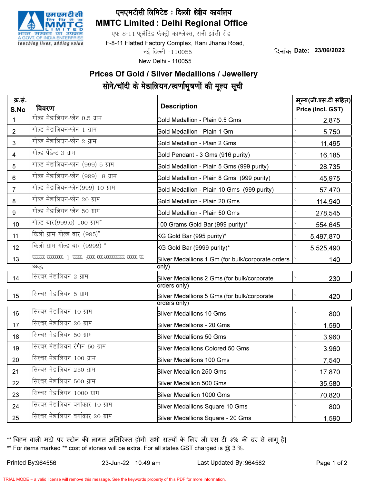

## MMTC Limited : Delhi Regional Office एमएमटीसी लिमिटेड: दिल्ली क्ष्त्रीय कार्यालय

एफ 8-11 फुलैटिड फैक्ट्री काम्प्लेक्स, रानी झांसी रोड

F-8-11 Flatted Factory Complex, Rani Jhansi Road,

नई दिल्ली -110055

New Delhi - 110055

दिनांक Date: 23/06/2022

## Prices Of Gold / Silver Medallions / Jewellery सोने/चॉदी के मेडालियन/स्वर्णाभूषणों की मूल्य सूची

| क्र.सं.<br>S.No | विवरण                                             | <b>Description</b>                                          | मूल्य(जी.एस.टी सहित)<br>Price (Incl. GST) |
|-----------------|---------------------------------------------------|-------------------------------------------------------------|-------------------------------------------|
| 1               | गोल्ड मेडालियन-प्लेन 0.5 ग्राम                    | Gold Medallion - Plain 0.5 Gms                              | 2,875                                     |
| $\overline{2}$  | गोल्ड मेडालियन-प्लेन 1 ग्राम                      | Gold Medallion - Plain 1 Gm                                 | 5,750                                     |
| 3               | गोल्ड मेडालियन-प्लेन 2 ग्राम                      | <b>Gold Medallion - Plain 2 Gms</b>                         | 11,495                                    |
| 4               | गोल्ड पेंडेन्ट 3 ग्राम                            | Gold Pendant - 3 Gms (916 purity)                           | 16,185                                    |
| 5               | गोल्ड मेडालियन-प्लेन (999) 5 ग्राम                | Gold Medallion - Plain 5 Gms (999 purity)                   | 28,735                                    |
| 6               | गोल्ड मेडालियन-प्लेन (999) 8 ग्राम                | Gold Medallion - Plain 8 Gms (999 purity)                   | 45,975                                    |
| $\overline{7}$  | गोल्ड मेडालियन-प्लेन(999) 10 ग्राम                | Gold Medallion - Plain 10 Gms (999 purity)                  | 57,470                                    |
| 8               | गोल्ड मेडालियन-प्लेन 20 ग्राम                     | Gold Medallion - Plain 20 Gms                               | 114,940                                   |
| 9               | गोल्ड मेडालियन-प्लेन 50 ग्राम                     | Gold Medallion - Plain 50 Gms                               | 278,545                                   |
| 10              | गोल्ड बार (999.0) 100 ग्राम*                      | 100 Grams Gold Bar (999 purity)*                            | 554,645                                   |
| 11              | किलो ग्राम गोल्ड बार (995)*                       | KG Gold Bar (995 purity)*                                   | 5,497,870                                 |
| 12              | किलो ग्राम गोल्ड बार (9999) *                     | KG Gold Bar (9999 purity)*                                  | 5,525,490                                 |
| 13              | 33 33333 33333333333 3333; 33333 1 3333333 333333 | Silver Medallions 1 Gm (for bulk/corporate orders           | 140                                       |
|                 | घ्छन्द                                            | only)                                                       |                                           |
| 14              | सिल्वर मेडालियन 2 ग्राम                           | Silver Medallions 2 Gms (for bulk/corporate<br>orders only) | 230                                       |
| 15              | सिल्वर मेडालियन 5 ग्राम                           | Silver Medallions 5 Gms (for bulk/corporate<br>orders only) | 420                                       |
| 16              | सिल्वर मेडालियन 10 ग्राम                          | <b>Silver Medallions 10 Gms</b>                             | 800                                       |
| 17              | सिल्वर मेडालियन 20 ग्राम                          | <b>Silver Medallions - 20 Gms</b>                           | 1,590                                     |
| 18              | सिल्वर मेडालियन 50 ग्राम                          | <b>Silver Medallions 50 Gms</b>                             | 3,960                                     |
| 19              | सिल्वर मेडालियन रंगीन 50 ग्राम                    | <b>Silver Medallions Colored 50 Gms</b>                     | 3,960                                     |
| 20              | सिल्वर मेडालियन 100 ग्राम                         | <b>Silver Medallions 100 Gms</b>                            | 7,540                                     |
| 21              | सिल्वर मेडालियन 250 ग्राम                         | Silver Medallion 250 Gms                                    | 17,870                                    |
| 22              | सिल्वर मेडालियन 500 ग्राम                         | <b>Silver Medallion 500 Gms</b>                             | 35,580                                    |
| 23              | सिल्वर मेडालियन 1000 ग्राम                        | Silver Medallion 1000 Gms                                   | 70,820                                    |
| 24              | सिल्वर मेडालियन वर्गाकार 10 ग्राम                 | Silver Medallions Square 10 Gms                             | 800                                       |
| 25              | सिल्वर मेडालियन वर्गाकार 20 ग्राम                 | Silver Medallions Square - 20 Gms                           | 1,590                                     |

\*\* For items marked \*\* cost of stones will be extra. For all states GST charged is  $@$  3 %. \*\* चिहन वाली मदो पर स्टोन की लागत अतिरिक्त होगी| सभी राज्यों के लिए जी एस टी ३% की दर से लागू है|